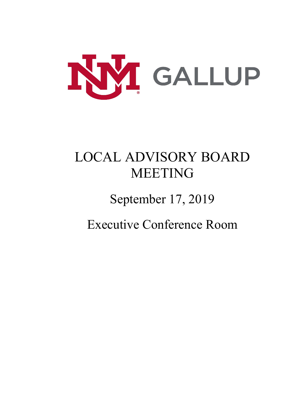

# LOCAL ADVISORY BOARD MEETING

September 17, 2019

Executive Conference Room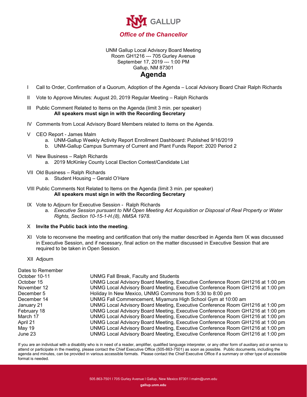

#### UNM Gallup Local Advisory Board Meeting Room GH1216 --- 705 Gurley Avenue September 17, 2019 --- 1:00 PM Gallup, NM 87301

#### **Agenda**

- I Call to Order, Confirmation of a Quorum, Adoption of the Agenda Local Advisory Board Chair Ralph Richards
- II Vote to Approve Minutes: August 20, 2019 Regular Meeting Ralph Richards

III Public Comment Related to Items on the Agenda (limit 3 min. per speaker) **All speakers must sign in with the Recording Secretary**

- IV Comments from Local Advisory Board Members related to items on the Agenda.
- V CEO Report James Malm
	- a. UNM-Gallup Weekly Activity Report Enrollment Dashboard: Published 9/16/2019
	- b. UNM-Gallup Campus Summary of Current and Plant Funds Report: 2020 Period 2
- VI New Business Ralph Richards
	- a. 2019 McKinley County Local Election Contest/Candidate List
- VII Old Business Ralph Richards
	- a. Student Housing Gerald O'Hare
- VIII Public Comments Not Related to Items on the Agenda (limit 3 min. per speaker) **All speakers must sign in with the Recording Secretary**
- IX Vote to Adjourn for Executive Session Ralph Richards
	- a. *Executive Session pursuant to NM Open Meeting Act Acquisition or Disposal of Real Property or Water Rights, Section 10-15-1-H.(8), NMSA 1978.*
- X **Invite the Public back into the meeting**.
- XI Vote to reconvene the meeting and certification that only the matter described in Agenda Item IX was discussed in Executive Session, and if necessary, final action on the matter discussed in Executive Session that are required to be taken in Open Session.
- XII Adjourn

| Dates to Remember |                                                                                |
|-------------------|--------------------------------------------------------------------------------|
| October 10-11     | <b>UNMG Fall Break, Faculty and Students</b>                                   |
| October 15        | UNMG Local Advisory Board Meeting, Executive Conference Room GH1216 at 1:00 pm |
| November 12       | UNMG Local Advisory Board Meeting, Executive Conference Room GH1216 at 1:00 pm |
| December 5        | Holiday In New Mexico, UNMG Commons from 5:30 to 8:00 pm                       |
| December 14       | UNMG Fall Commencement, Miyamura High School Gym at 10:00 am                   |
| January 21        | UNMG Local Advisory Board Meeting, Executive Conference Room GH1216 at 1:00 pm |
| February 18       | UNMG Local Advisory Board Meeting, Executive Conference Room GH1216 at 1:00 pm |
| March 17          | UNMG Local Advisory Board Meeting, Executive Conference Room GH1216 at 1:00 pm |
| April 21          | UNMG Local Advisory Board Meeting, Executive Conference Room GH1216 at 1:00 pm |
| May 19            | UNMG Local Advisory Board Meeting, Executive Conference Room GH1216 at 1:00 pm |
| June 23           | UNMG Local Advisory Board Meeting, Executive Conference Room GH1216 at 1:00 pm |

If you are an individual with a disability who is in need of a reader, amplifier, qualified language interpreter, or any other form of auxiliary aid or service to attend or participate in the meeting, please contact the Chief Executive Office (505-863-7501) as soon as possible. Public documents, including the agenda and minutes, can be provided in various accessible formats. Please contact the Chief Executive Office if a summary or other type of accessible format is needed.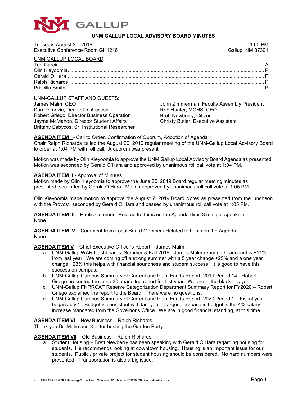

#### **UNM GALLUP LOCAL ADVISORY BOARD MINUTES**

| Tuesday, August 20, 2019         | $1:00$ PM               |
|----------------------------------|-------------------------|
| Executive Conference Room GH1216 | <b>Gallup, NM 87301</b> |
| UNM GALLUP LOCAL BOARD           |                         |
|                                  |                         |
|                                  |                         |
|                                  |                         |
|                                  |                         |
|                                  |                         |

#### UNM-GALLUP STAFF AND GUESTS:

| 0.1111 0.121 0.171 1.1110 0.0210 1.01          |                                            |
|------------------------------------------------|--------------------------------------------|
| James Malm. CEO                                | John Zimmerman, Faculty Assembly President |
| Dan Primozic. Dean of Instruction              | Rob Hunter, MCHS, CEO                      |
| Robert Griego, Director Business Operation     | Brett Newberry, Citizen                    |
| Jayme McMahon, Director Student Affairs        | <b>Christy Butler, Executive Assistant</b> |
| Brittany Babycos, Sr. Institutional Researcher |                                            |

#### AGENDA ITEM I - Call to Order, Confirmation of Quorum, Adoption of Agenda Chair Ralph Richards called the August 20, 2019 regular meeting of the UNM-Gallup Local Advisory Board to order at 1:04 PM with roll call. A quorum was present.

Motion was made by Olin Kieyoomia to approve the UNM Gallup Local Advisory Board Agenda as presented. Motion was seconded by Gerald O'Hara and approved by unanimous roll call vote at 1:04 PM.

#### **AGENDA ITEM II -** Approval of Minutes

Motion made by Olin Kieyoomia to approve the June 25, 2019 Board regular meeting minutes as presented, seconded by Gerald O'Hara. Motion approved by unanimous roll call vote at 1:05 PM.

Olin Kieyoomia made motion to approve the August 7, 2019 Board Notes as presented from the luncheon with the Provost, seconded by Gerald O'Hara and passed by unanimous roll call vote at 1:05 PM.

**AGENDA ITEM III** – Public Comment Related to Items on the Agenda (limit 3 min per speaker) None

**AGENDA ITEM IV** – Comment from Local Board Members Related to Items on the Agenda. None

**AGENDA ITEM V** – Chief Executive Officer's Report – James Malm

- a. UNM-Gallup WAR Dashboards: Summer & Fall 2019 James Malm reported headcount is +11% from last year. We are coming off a strong summer with a 5 year change +25% and a one year change +28% this helps with financial soundness and student success. It is good to have this success on campus.
- b. UNM-Gallup Campus Summary of Current and Plant Funds Report: 2019 Period 14 Robert Griego presented the June 30 unaudited report for last year. We are in the black this year.
- c. UNM-Gallup FNRRCAT Reserve Categorization Department Summary Report for FY2020 Robert Griego explained the report to the Board. There were no questions.
- d. UNM-Gallup Campus Summary of Current and Plant Funds Report: 2020 Period 1 Fiscal year began July 1. Budget is consistent with last year. Largest increase in budget is the 4% salary increase mandated from the Governor's Office. We are in good financial standing, at this time.

#### **AGENDA ITEM VI** – New Business – Ralph Richards

Thank you Dr. Malm and Keli for hosting the Garden Party.

#### **AGENDA ITEM VII** – Old Business – Ralph Richards

a. Student Housing – Brett Newberry has been speaking with Gerald O'Hara regarding housing for students. He recommends looking at downtown housing. Housing is an important issue for our students. Public / private project for student housing should be considered. No hard numbers were presented. Transportation is also a big issue.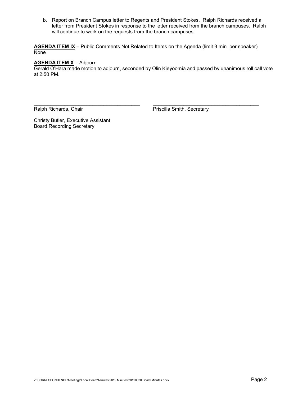b. Report on Branch Campus letter to Regents and President Stokes. Ralph Richards received a letter from President Stokes in response to the letter received from the branch campuses. Ralph will continue to work on the requests from the branch campuses.

**AGENDA ITEM IX** – Public Comments Not Related to Items on the Agenda (limit 3 min. per speaker) **None** 

#### **AGENDA ITEM X** – Adjourn

Gerald O'Hara made motion to adjourn, seconded by Olin Kieyoomia and passed by unanimous roll call vote at 2:50 PM.

\_\_\_\_\_\_\_\_\_\_\_\_\_\_\_\_\_\_\_\_\_\_\_\_\_\_\_\_\_\_\_\_\_\_\_\_\_\_ \_\_\_\_\_\_\_\_\_\_\_\_\_\_\_\_\_\_\_\_\_\_\_\_\_\_\_\_\_\_\_\_\_\_\_\_\_\_

Ralph Richards, Chair **Priscilla Smith, Secretary** 

Christy Butler, Executive Assistant Board Recording Secretary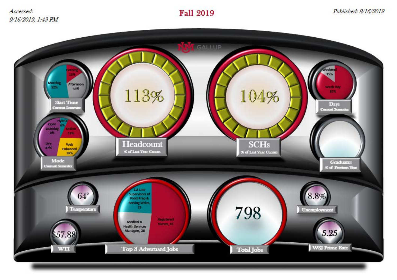Accessed: 9/16/2019, 1:43 PM

### **Fall 2019**

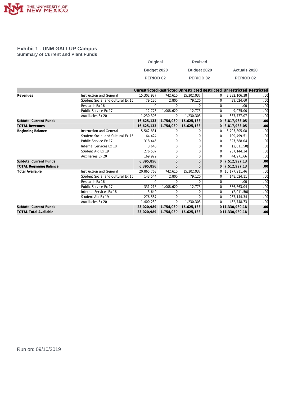

#### **Exhibit 1 - UNM GALLUP Campus Summary of Current and Plant Funds**

| Original         | <b>Revised</b>   |                     |
|------------------|------------------|---------------------|
| Budget 2020      | Budget 2020      | <b>Actuals 2020</b> |
| <b>PERIOD 02</b> | <b>PERIOD 02</b> | <b>PERIOD 02</b>    |

|                                |                                                             |            |            |              |                    | Unrestricted Restricted Unrestricted Restricted Unrestricted Restricted |     |
|--------------------------------|-------------------------------------------------------------|------------|------------|--------------|--------------------|-------------------------------------------------------------------------|-----|
| Revenues                       | Instruction and General                                     | 15,302,937 | 742,610    | 15,302,937   |                    | 3,382,106.38                                                            | .00 |
|                                | Student Social and Cultural Ex 15                           | 79,120     | 2.800      | 79,120       |                    | 39,024.60                                                               | .00 |
|                                | Research Ex 16                                              | $\Omega$   |            | $\Omega$     |                    | .00                                                                     | .00 |
|                                | Public Service Ex 17                                        | 12,773     | 1,008,620  | 12,773       |                    | 9,075.00                                                                | .00 |
|                                | Auxiliaries Ex 20                                           | 1,230,303  |            | 1,230,303    | ΩI                 | 387,777.07                                                              | .00 |
| <b>Subtotal Current Funds</b>  |                                                             | 16,625,133 | 1,754,030  | 16,625,133   | ΩI                 | 3,817,983.05                                                            | .00 |
| <b>TOTAL Revenues</b>          |                                                             | 16,625,133 | 1,754,030  | 16,625,133   |                    | 3,817,983.05                                                            | .00 |
| Beginning Balance              | Instruction and General                                     | 5,562,831  |            | 0            |                    | 6,795,805.08                                                            | .00 |
|                                | Student Social and Cultural Ex 15                           | 64,424     |            | $\Omega$     |                    | 109,499.51                                                              | .00 |
|                                | Public Service Ex 17                                        | 318,445    |            | $\Omega$     |                    | 327,588.04                                                              | .00 |
|                                | Internal Services Ex 18                                     | 3.640      |            | $\Omega$     |                    | (2,011.50)                                                              | .00 |
|                                | Student Aid Ex 19                                           | 276,587    |            | $\Omega$     |                    | 237, 144. 34                                                            | .00 |
|                                | Auxiliaries Ex 20                                           | 169.929    |            | $\Omega$     |                    | 44,971.66                                                               | .00 |
| Subtotal Current Funds         |                                                             | 6,395,856  |            | $\mathbf{0}$ | ΩI                 | 7,512,997.13                                                            | .00 |
| <b>TOTAL Beginning Balance</b> |                                                             | 6,395,856  |            | $\mathbf{0}$ |                    | 0 7,512,997.13                                                          | .00 |
| Total Available                | Instruction and General                                     | 20,865,768 | 742,610    | 15,302,937   | ΩI                 | 10, 177, 911.46                                                         | .00 |
|                                | Student Social and Cultural Ex 15                           | 143,544    | 2,800      | 79,120       |                    | 148,524.11                                                              | .00 |
|                                | Research Ex 16                                              | $\Omega$   |            | $\Omega$     |                    | .00                                                                     | .00 |
|                                | Public Service Ex 17                                        | 331,218    | 1,008,620  | 12,773       |                    | 336,663.04                                                              | .00 |
|                                | Internal Services Ex 18                                     | 3.640      |            | $\Omega$     |                    | (2,011.50)                                                              | .00 |
|                                | Student Aid Ex 19                                           | 276,587    |            | $\Omega$     | ΩI                 | 237, 144. 34                                                            | .00 |
|                                | Auxiliaries Ex 20                                           | 1,400,232  |            | 1,230,303    |                    | 432,748.73                                                              | .00 |
| <b>Subtotal Current Funds</b>  | 23,020,989                                                  | 1,754,030  | 16,625,133 |              | 0 11, 330, 980. 18 | .00                                                                     |     |
| <b>TOTAL Total Available</b>   | 0 11, 330, 980. 18<br>23,020,989<br>1,754,030<br>16,625,133 |            |            |              |                    | .00                                                                     |     |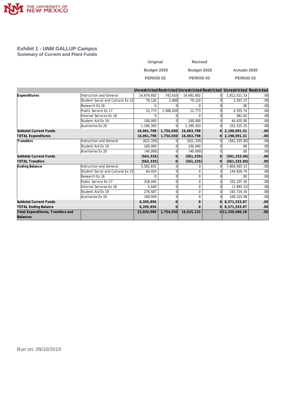

#### **Exhibit 1 - UNM GALLUP Campus Summary of Current and Plant Funds**

| Original         | <b>Revised</b>   |                     |
|------------------|------------------|---------------------|
| Budget 2020      | Budget 2020      | <b>Actuals 2020</b> |
| <b>PERIOD 02</b> | <b>PERIOD 02</b> | <b>PERIOD 02</b>    |

|                                               |                                   |            |           |              |          | Unrestricted Restricted Unrestricted Restricted Unrestricted Restricted |     |
|-----------------------------------------------|-----------------------------------|------------|-----------|--------------|----------|-------------------------------------------------------------------------|-----|
| Expenditures                                  | Instruction and General           | 14,679,602 | 742,610   | 14,681,602   | $\Omega$ | 1,812,011.33                                                            | .00 |
|                                               | Student Social and Cultural Ex 15 | 79,120     | 2,800     | 79,120       |          | 3,597.37                                                                | .00 |
|                                               | Research Ex 16                    | 0          |           | $\Omega$     |          | .00                                                                     | .00 |
|                                               | Public Service Ex 17              | 12,773     | 1,008,620 | 12,773       |          | 4,555.74                                                                | .00 |
|                                               | Internal Services Ex 18           | $\Omega$   |           | $\Omega$     | $\Omega$ | 981.62                                                                  | .00 |
|                                               | Student Aid Ex 19                 | 100,000    |           | 100,000      | $\Omega$ | 44,420.00                                                               | .00 |
|                                               | Auxiliaries Ex 20                 | 1,190,303  |           | 1,190,303    | ΩI       | 332,525.25                                                              | .00 |
| Subtotal Current Funds                        |                                   | 16,061,798 | 1,754,030 | 16,063,798   | $\Omega$ | 2,198,091.31                                                            | .00 |
| <b>TOTAL Expenditures</b>                     |                                   | 16,061,798 | 1,754,030 | 16,063,798   |          | $0$   2,198,091.31                                                      | .00 |
| Transfers                                     | Instruction and General           | (623, 335) |           | (621, 335)   |          | (561, 335.00)                                                           | .00 |
|                                               | Student Aid Ex 19                 | 100,000    |           | 100,000      |          | .00                                                                     | .00 |
|                                               | Auxiliaries Ex 20                 | (40,000)   |           | (40,000)     |          | .00                                                                     | .00 |
| <b>Subtotal Current Funds</b>                 |                                   | (563, 335) |           | (561, 335)   | $\Omega$ | (561, 335.00)                                                           | .00 |
| <b>TOTAL Transfers</b>                        |                                   | (563, 335) |           | (561, 335)   | $\Omega$ | (561, 335.00)                                                           | .00 |
| Ending Balance                                | Instruction and General           | 5,562,831  |           | $\Omega$     | $\Omega$ | 7,804,565.13                                                            | .00 |
|                                               | Student Social and Cultural Ex 15 | 64,424     |           | $\Omega$     |          | 144,926.74                                                              | .00 |
|                                               | Research Ex 16                    | O          |           | 0            |          | .00                                                                     | .00 |
|                                               | Public Service Ex 17              | 318,445    |           | $\mathbf 0$  |          | 332, 107.30                                                             | .00 |
|                                               | Internal Services Ex 18           | 3,640      |           | $\mathbf 0$  | $\Omega$ | (2,993.12)                                                              | .00 |
|                                               | Student Aid Ex 19                 | 276,587    |           | $\mathbf 0$  | $\Omega$ | 192,724.34                                                              | .00 |
|                                               | Auxiliaries Ex 20                 | 169,929    |           | $\Omega$     | 0l       | 100,223.48                                                              | .00 |
| <b>Subtotal Current Funds</b>                 |                                   | 6,395,856  |           | $\mathbf{0}$ | 0l       | 8,571,553.87                                                            | .00 |
| <b>TOTAL Ending Balance</b>                   |                                   | 6,395,856  |           | $\mathbf{0}$ |          | $0$ 8,571,553.87                                                        | .00 |
| Total Expenditures, Transfers and<br>Balances |                                   | 23,020,989 | 1,754,030 | 16,625,133   |          | 0 11, 330, 980. 18                                                      | .00 |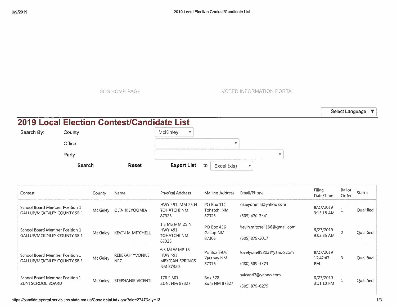SOS HOME PAGE VOTER INFORMATION PORTAL

Select Language |  $\blacktriangledown$ 

## **2019 Local Election Contest/Candidate List**

| Search By: | County        |              | McKinley<br>v                                                                        |
|------------|---------------|--------------|--------------------------------------------------------------------------------------|
|            | Office        |              | EXECUTIVE AND POPULATION IN THE TERRITORY IN THE PRESS                               |
|            | Party         |              | The contract of the African contract is a contract provided and contract of the con- |
|            | <b>Search</b> | <b>Reset</b> | <b>Export List</b><br>to<br>Excel (xls)                                              |

| Contest                                                                          | County                                                                    | Name                    | Physical Address                                                    | Mailing Address                         | Email/Phone                 | Filing<br>Date/Time   | Ballot<br>Order | <b>Status</b>    |
|----------------------------------------------------------------------------------|---------------------------------------------------------------------------|-------------------------|---------------------------------------------------------------------|-----------------------------------------|-----------------------------|-----------------------|-----------------|------------------|
| School Board Member Position 1<br><b>GALLUP/MCKINLEY COUNTY SB 1</b>             | McKinley                                                                  | OLIN KIEYOOMIA          | HWY 491, MM 25 N<br><b>PO Box 111</b><br>Tohatchi NM<br>TOHATCHI NM | okieyoomia@yahoo.com                    | 8/27/2019<br>9:13:18 AM     |                       | Qualified       |                  |
|                                                                                  |                                                                           |                         | 87325                                                               | 87325                                   | (505) 470-7341              |                       |                 |                  |
| School Board Member Position 1<br>McKinley<br><b>GALLUP/MCKINLEY COUNTY SB 1</b> |                                                                           | <b>KEVIN M MITCHELL</b> | 1.5 MS MM 25 N<br><b>HWY 491</b><br><b>TOHATCHI NM</b><br>87325     | <b>PO Box 456</b><br>Gallup NM<br>87305 | kevin.mitchell186@gmail.com | 8/27/2019             | $\overline{2}$  | Qualified        |
|                                                                                  |                                                                           |                         |                                                                     |                                         | (505) 879-5017              | 9:03:35 AM            |                 |                  |
| School Board Member Position 1                                                   |                                                                           | <b>REBEKAH YVONNE</b>   | 6.5 MI W MP 15<br><b>HWY 491</b>                                    | Po Box 3976<br><b>Yatahey NM</b>        | lovelyone85202@yahoo.com    | 8/27/2019<br>12:47:47 | 3               | <b>Oualified</b> |
| <b>GALLUP/MCKINLEY COUNTY SB 1</b>                                               | McKinley<br><b>NEZ</b>                                                    |                         | <b>MEXICAN SPRINGS</b><br>NM 87320                                  | 87375                                   | (480) 589-5323              | PM                    |                 |                  |
| School Board Member Position 1                                                   | 176 S 301<br>McKinley<br><b>STEPHANIE VICENTI</b><br><b>ZUNI NM 87327</b> | Box 578                 | svicenti7@yahoo.com                                                 | 8/27/2019                               |                             | Qualified             |                 |                  |
| ZUNI SCHOOL BOARD                                                                |                                                                           |                         |                                                                     | Zuni NM 87327                           | (505) 879-6279              | 3:11:10 PM            |                 |                  |

https://candidateportal.servis.sos.state.nm.us/CandidateList.aspx?eid=27 **4** 7&cty=13 **113**